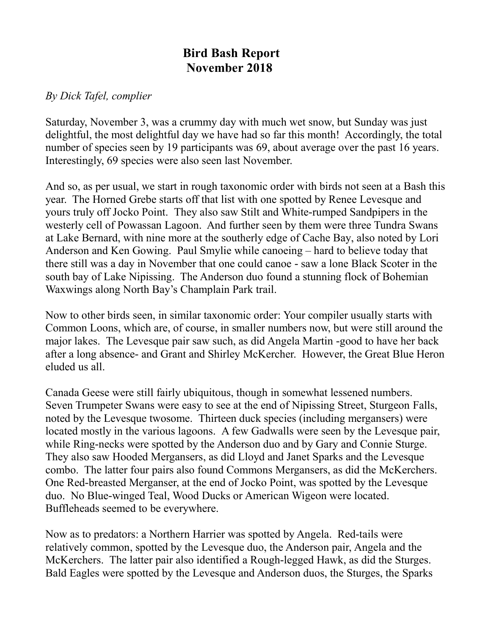## **Bird Bash Report November 2018**

## *By Dick Tafel, complier*

Saturday, November 3, was a crummy day with much wet snow, but Sunday was just delightful, the most delightful day we have had so far this month! Accordingly, the total number of species seen by 19 participants was 69, about average over the past 16 years. Interestingly, 69 species were also seen last November.

And so, as per usual, we start in rough taxonomic order with birds not seen at a Bash this year. The Horned Grebe starts off that list with one spotted by Renee Levesque and yours truly off Jocko Point. They also saw Stilt and White-rumped Sandpipers in the westerly cell of Powassan Lagoon. And further seen by them were three Tundra Swans at Lake Bernard, with nine more at the southerly edge of Cache Bay, also noted by Lori Anderson and Ken Gowing. Paul Smylie while canoeing – hard to believe today that there still was a day in November that one could canoe - saw a lone Black Scoter in the south bay of Lake Nipissing. The Anderson duo found a stunning flock of Bohemian Waxwings along North Bay's Champlain Park trail.

Now to other birds seen, in similar taxonomic order: Your compiler usually starts with Common Loons, which are, of course, in smaller numbers now, but were still around the major lakes. The Levesque pair saw such, as did Angela Martin -good to have her back after a long absence- and Grant and Shirley McKercher. However, the Great Blue Heron eluded us all.

Canada Geese were still fairly ubiquitous, though in somewhat lessened numbers. Seven Trumpeter Swans were easy to see at the end of Nipissing Street, Sturgeon Falls, noted by the Levesque twosome. Thirteen duck species (including mergansers) were located mostly in the various lagoons. A few Gadwalls were seen by the Levesque pair, while Ring-necks were spotted by the Anderson duo and by Gary and Connie Sturge. They also saw Hooded Mergansers, as did Lloyd and Janet Sparks and the Levesque combo. The latter four pairs also found Commons Mergansers, as did the McKerchers. One Red-breasted Merganser, at the end of Jocko Point, was spotted by the Levesque duo. No Blue-winged Teal, Wood Ducks or American Wigeon were located. Buffleheads seemed to be everywhere.

Now as to predators: a Northern Harrier was spotted by Angela. Red-tails were relatively common, spotted by the Levesque duo, the Anderson pair, Angela and the McKerchers. The latter pair also identified a Rough-legged Hawk, as did the Sturges. Bald Eagles were spotted by the Levesque and Anderson duos, the Sturges, the Sparks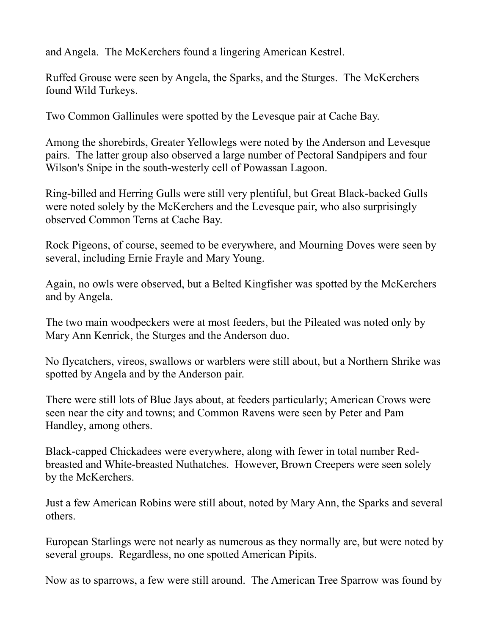and Angela. The McKerchers found a lingering American Kestrel.

Ruffed Grouse were seen by Angela, the Sparks, and the Sturges. The McKerchers found Wild Turkeys.

Two Common Gallinules were spotted by the Levesque pair at Cache Bay.

Among the shorebirds, Greater Yellowlegs were noted by the Anderson and Levesque pairs. The latter group also observed a large number of Pectoral Sandpipers and four Wilson's Snipe in the south-westerly cell of Powassan Lagoon.

Ring-billed and Herring Gulls were still very plentiful, but Great Black-backed Gulls were noted solely by the McKerchers and the Levesque pair, who also surprisingly observed Common Terns at Cache Bay.

Rock Pigeons, of course, seemed to be everywhere, and Mourning Doves were seen by several, including Ernie Frayle and Mary Young.

Again, no owls were observed, but a Belted Kingfisher was spotted by the McKerchers and by Angela.

The two main woodpeckers were at most feeders, but the Pileated was noted only by Mary Ann Kenrick, the Sturges and the Anderson duo.

No flycatchers, vireos, swallows or warblers were still about, but a Northern Shrike was spotted by Angela and by the Anderson pair.

There were still lots of Blue Jays about, at feeders particularly; American Crows were seen near the city and towns; and Common Ravens were seen by Peter and Pam Handley, among others.

Black-capped Chickadees were everywhere, along with fewer in total number Redbreasted and White-breasted Nuthatches. However, Brown Creepers were seen solely by the McKerchers.

Just a few American Robins were still about, noted by Mary Ann, the Sparks and several others.

European Starlings were not nearly as numerous as they normally are, but were noted by several groups. Regardless, no one spotted American Pipits.

Now as to sparrows, a few were still around. The American Tree Sparrow was found by